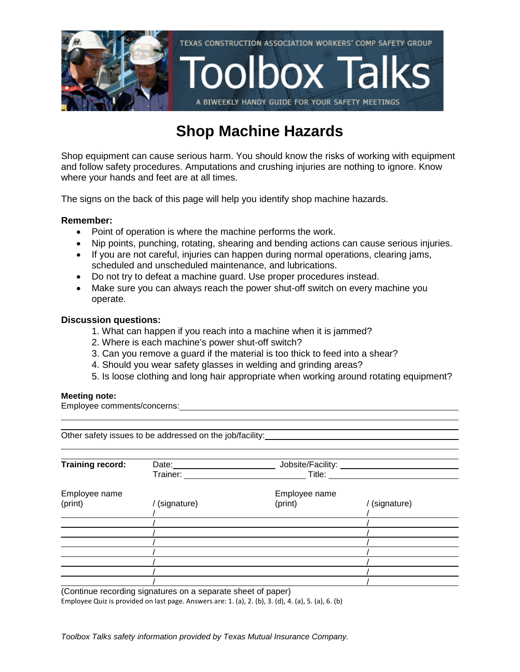

## **Shop Machine Hazards**

Shop equipment can cause serious harm. You should know the risks of working with equipment and follow safety procedures. Amputations and crushing injuries are nothing to ignore. Know where your hands and feet are at all times.

The signs on the back of this page will help you identify shop machine hazards.

### **Remember:**

- Point of operation is where the machine performs the work.
- Nip points, punching, rotating, shearing and bending actions can cause serious injuries.
- If you are not careful, injuries can happen during normal operations, clearing jams, scheduled and unscheduled maintenance, and lubrications.
- Do not try to defeat a machine guard. Use proper procedures instead.
- Make sure you can always reach the power shut-off switch on every machine you operate.

### **Discussion questions:**

- 1. What can happen if you reach into a machine when it is jammed?
- 2. Where is each machine's power shut-off switch?
- 3. Can you remove a guard if the material is too thick to feed into a shear?
- 4. Should you wear safety glasses in welding and grinding areas?
- 5. Is loose clothing and long hair appropriate when working around rotating equipment?

#### **Meeting note:**

Employee comments/concerns:

| Other safety issues to be addressed on the job/facility: |                                                      |               |             |  |  |
|----------------------------------------------------------|------------------------------------------------------|---------------|-------------|--|--|
|                                                          |                                                      |               |             |  |  |
| <b>Training record:</b>                                  | Jobsite/Facility: __________________<br>Date: $\_\_$ |               |             |  |  |
|                                                          | Trainer:                                             | Title:        |             |  |  |
| Employee name                                            |                                                      | Employee name |             |  |  |
| (print)                                                  | / (signature)                                        | (print)       | (signature) |  |  |
|                                                          |                                                      |               |             |  |  |
|                                                          |                                                      |               |             |  |  |
|                                                          |                                                      |               |             |  |  |
|                                                          |                                                      |               |             |  |  |
|                                                          |                                                      |               |             |  |  |
|                                                          |                                                      |               |             |  |  |
|                                                          |                                                      |               |             |  |  |

(Continue recording signatures on a separate sheet of paper) Employee Quiz is provided on last page. Answers are: 1. (a), 2. (b), 3. (d), 4. (a), 5. (a), 6. (b)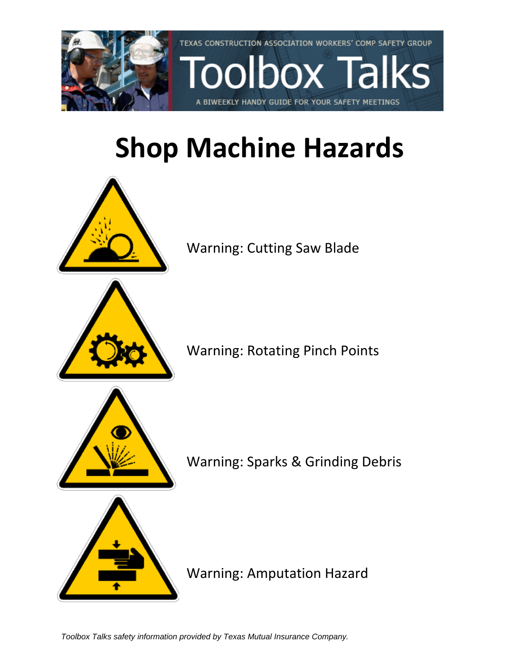

# **Shop Machine Hazards**



Warning: Cutting Saw Blade



Warning: Rotating Pinch Points



Warning: Sparks & Grinding Debris



Warning: Amputation Hazard